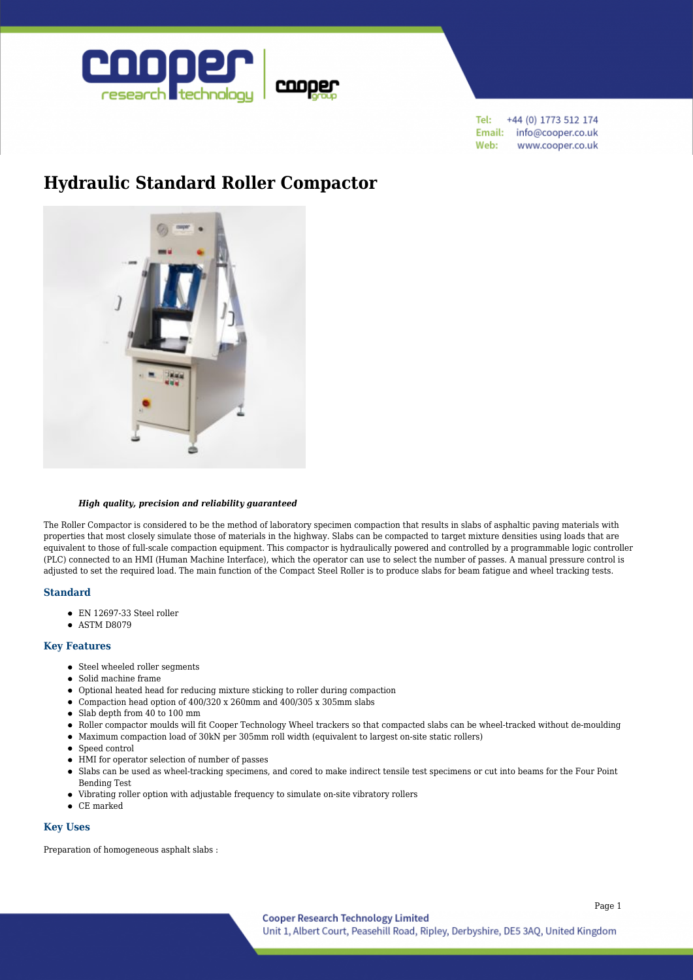

+44 (0) 1773 512 174 Tel: Email: info@cooper.co.uk Web: www.cooper.co.uk

# **[Hydraulic Standard Roller Compactor](https://www.cooper.co.uk/shop/asphalt-testing/asphalt-compaction/hydraulic-standard-roller-compactor-dual-size/)**



#### *High quality, precision and reliability guaranteed*

The Roller Compactor is considered to be the method of laboratory specimen compaction that results in slabs of asphaltic paving materials with properties that most closely simulate those of materials in the highway. Slabs can be compacted to target mixture densities using loads that are equivalent to those of full-scale compaction equipment. This compactor is hydraulically powered and controlled by a programmable logic controller (PLC) connected to an HMI (Human Machine Interface), which the operator can use to select the number of passes. A manual pressure control is adjusted to set the required load. The main function of the Compact Steel Roller is to produce slabs for beam fatigue and wheel tracking tests.

### **Standard**

- EN 12697-33 Steel roller
- ASTM D8079

### **Key Features**

- Steel wheeled roller segments
- Solid machine frame
- Optional heated head for reducing mixture sticking to roller during compaction
- Compaction head option of 400/320 x 260mm and 400/305 x 305mm slabs
- Slab depth from 40 to 100 mm
- Roller compactor moulds will fit Cooper Technology Wheel trackers so that compacted slabs can be wheel-tracked without de-moulding
- Maximum compaction load of 30kN per 305mm roll width (equivalent to largest on-site static rollers)
- Speed control
- HMI for operator selection of number of passes
- Slabs can be used as wheel-tracking specimens, and cored to make indirect tensile test specimens or cut into beams for the Four Point Bending Test
- Vibrating roller option with adjustable frequency to simulate on-site vibratory rollers
- CE marked

### **Key Uses**

Preparation of homogeneous asphalt slabs :